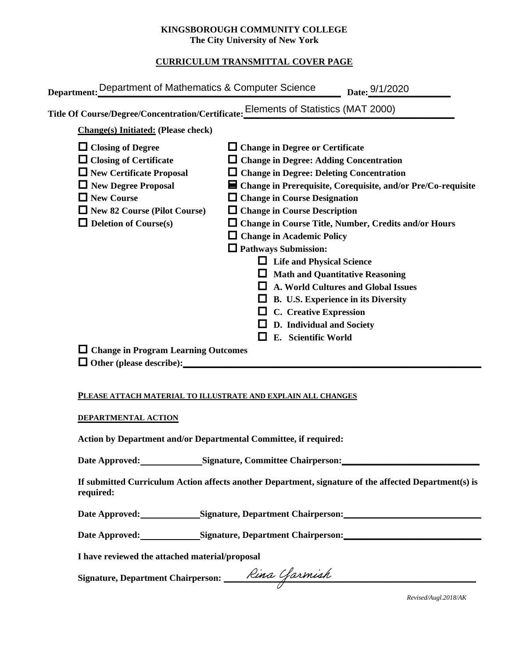#### **KINGSBOROUGH COMMUNITY COLLEGE The City University of New York**

# **CURRICULUM TRANSMITTAL COVER PAGE**

| Department: Department of Mathematics & Computer Science                                                                                                                                                                                                             | Date: 9/1/2020                                                                                                                                                                                                                                                                                                                                                                                                                                                                                                                                                                                                                                                                              |
|----------------------------------------------------------------------------------------------------------------------------------------------------------------------------------------------------------------------------------------------------------------------|---------------------------------------------------------------------------------------------------------------------------------------------------------------------------------------------------------------------------------------------------------------------------------------------------------------------------------------------------------------------------------------------------------------------------------------------------------------------------------------------------------------------------------------------------------------------------------------------------------------------------------------------------------------------------------------------|
| <b>Change(s)</b> Initiated: (Please check)                                                                                                                                                                                                                           | Title Of Course/Degree/Concentration/Certificate: Elements of Statistics (MAT 2000)                                                                                                                                                                                                                                                                                                                                                                                                                                                                                                                                                                                                         |
| $\Box$ Closing of Degree<br>$\Box$ Closing of Certificate<br>$\Box$ New Certificate Proposal<br>$\Box$ New Degree Proposal<br>$\Box$ New Course<br>$\Box$ New 82 Course (Pilot Course)<br>$\Box$ Deletion of Course(s)<br>$\Box$ Change in Program Learning Outcomes | $\Box$ Change in Degree or Certificate<br>$\Box$ Change in Degree: Adding Concentration<br>$\Box$ Change in Degree: Deleting Concentration<br>■ Change in Prerequisite, Corequisite, and/or Pre/Co-requisite<br>$\Box$ Change in Course Designation<br>$\Box$ Change in Course Description<br>$\Box$ Change in Course Title, Number, Credits and/or Hours<br>$\Box$ Change in Academic Policy<br>$\Box$ Pathways Submission:<br>$\Box$ Life and Physical Science<br><b>Math and Quantitative Reasoning</b><br><b>A. World Cultures and Global Issues</b><br><b>B. U.S. Experience in its Diversity</b><br><b>C.</b> Creative Expression<br>D. Individual and Society<br>E. Scientific World |

#### **PLEASE ATTACH MATERIAL TO ILLUSTRATE AND EXPLAIN ALL CHANGES**

#### **DEPARTMENTAL ACTION**

**Action by Department and/or Departmental Committee, if required:**

Date Approved: Signature, Committee Chairperson:

**If submitted Curriculum Action affects another Department, signature of the affected Department(s) is required:**

Date Approved: Signature, Department Chairperson: National Approved:

Date Approved: Signature, Department Chairperson: Network and Approved: Network and Separature, Department Chairperson:

**I have reviewed the attached material/proposal**

Signature, Department Chairperson: \_\_\_\_\_*/ CCRQ* Garmian

*Revised/Augl.2018/AK*